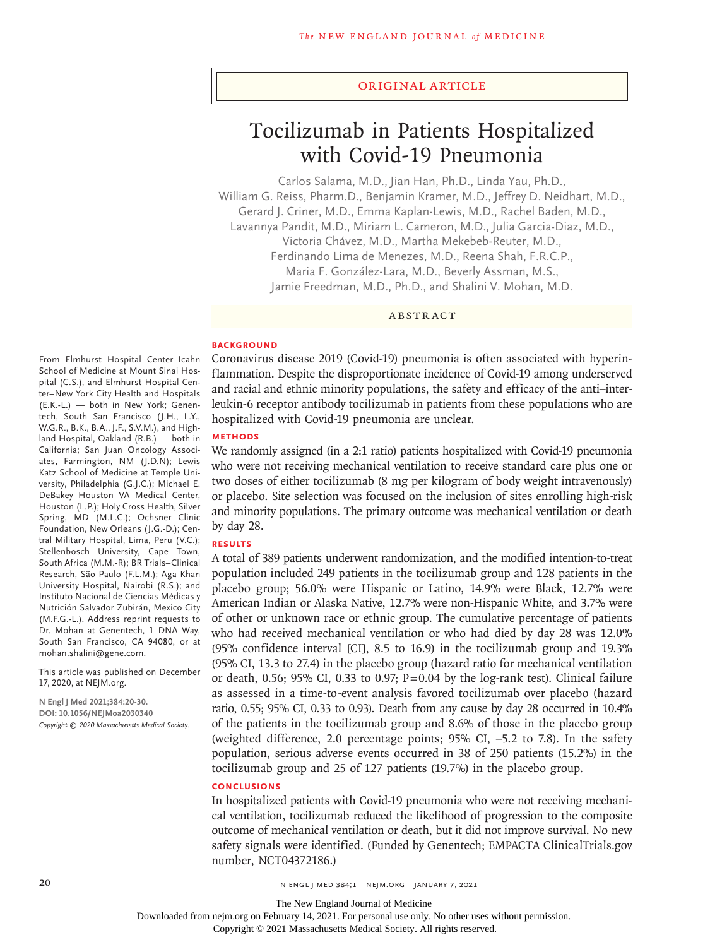#### Original Article

# Tocilizumab in Patients Hospitalized with Covid-19 Pneumonia

Carlos Salama, M.D., Jian Han, Ph.D., Linda Yau, Ph.D., William G. Reiss, Pharm.D., Benjamin Kramer, M.D., Jeffrey D. Neidhart, M.D., Gerard J. Criner, M.D., Emma Kaplan-Lewis, M.D., Rachel Baden, M.D., Lavannya Pandit, M.D., Miriam L. Cameron, M.D., Julia Garcia-Diaz, M.D., Victoria Chávez, M.D., Martha Mekebeb-Reuter, M.D., Ferdinando Lima de Menezes, M.D., Reena Shah, F.R.C.P., Maria F. González-Lara, M.D., Beverly Assman, M.S., Jamie Freedman, M.D., Ph.D., and Shalini V. Mohan, M.D.

ABSTRACT

#### **BACKGROUND**

Coronavirus disease 2019 (Covid-19) pneumonia is often associated with hyperinflammation. Despite the disproportionate incidence of Covid-19 among underserved and racial and ethnic minority populations, the safety and efficacy of the anti–interleukin-6 receptor antibody tocilizumab in patients from these populations who are hospitalized with Covid-19 pneumonia are unclear.

# **METHODS**

We randomly assigned (in a 2:1 ratio) patients hospitalized with Covid-19 pneumonia who were not receiving mechanical ventilation to receive standard care plus one or two doses of either tocilizumab (8 mg per kilogram of body weight intravenously) or placebo. Site selection was focused on the inclusion of sites enrolling high-risk and minority populations. The primary outcome was mechanical ventilation or death by day 28.

# **RESULTS**

A total of 389 patients underwent randomization, and the modified intention-to-treat population included 249 patients in the tocilizumab group and 128 patients in the placebo group; 56.0% were Hispanic or Latino, 14.9% were Black, 12.7% were American Indian or Alaska Native, 12.7% were non-Hispanic White, and 3.7% were of other or unknown race or ethnic group. The cumulative percentage of patients who had received mechanical ventilation or who had died by day 28 was 12.0% (95% confidence interval [CI], 8.5 to 16.9) in the tocilizumab group and 19.3% (95% CI, 13.3 to 27.4) in the placebo group (hazard ratio for mechanical ventilation or death, 0.56; 95% CI, 0.33 to 0.97;  $P=0.04$  by the log-rank test). Clinical failure as assessed in a time-to-event analysis favored tocilizumab over placebo (hazard ratio, 0.55; 95% CI, 0.33 to 0.93). Death from any cause by day 28 occurred in 10.4% of the patients in the tocilizumab group and 8.6% of those in the placebo group (weighted difference, 2.0 percentage points; 95% CI, –5.2 to 7.8). In the safety population, serious adverse events occurred in 38 of 250 patients (15.2%) in the tocilizumab group and 25 of 127 patients (19.7%) in the placebo group.

# **CONCLUSIONS**

In hospitalized patients with Covid-19 pneumonia who were not receiving mechanical ventilation, tocilizumab reduced the likelihood of progression to the composite outcome of mechanical ventilation or death, but it did not improve survival. No new safety signals were identified. (Funded by Genentech; EMPACTA ClinicalTrials.gov number, NCT04372186.)

From Elmhurst Hospital Center–Icahn School of Medicine at Mount Sinai Hospital (C.S.), and Elmhurst Hospital Center–New York City Health and Hospitals (E.K.-L.) — both in New York; Genentech, South San Francisco (J.H., L.Y., W.G.R., B.K., B.A., J.F., S.V.M.), and Highland Hospital, Oakland (R.B.) — both in California; San Juan Oncology Associates, Farmington, NM (J.D.N); Lewis Katz School of Medicine at Temple University, Philadelphia (G.J.C.); Michael E. DeBakey Houston VA Medical Center, Houston (L.P.); Holy Cross Health, Silver Spring, MD (M.L.C.); Ochsner Clinic Foundation, New Orleans (J.G.-D.); Central Military Hospital, Lima, Peru (V.C.); Stellenbosch University, Cape Town, South Africa (M.M.-R); BR Trials–Clinical Research, São Paulo (F.L.M.); Aga Khan University Hospital, Nairobi (R.S.); and Instituto Nacional de Ciencias Médicas y Nutrición Salvador Zubirán, Mexico City (M.F.G.-L.). Address reprint requests to Dr. Mohan at Genentech, 1 DNA Way, South San Francisco, CA 94080, or at mohan.shalini@gene.com.

This article was published on December 17, 2020, at NEJM.org.

**N Engl J Med 2021;384:20-30. DOI: 10.1056/NEJMoa2030340** *Copyright © 2020 Massachusetts Medical Society.*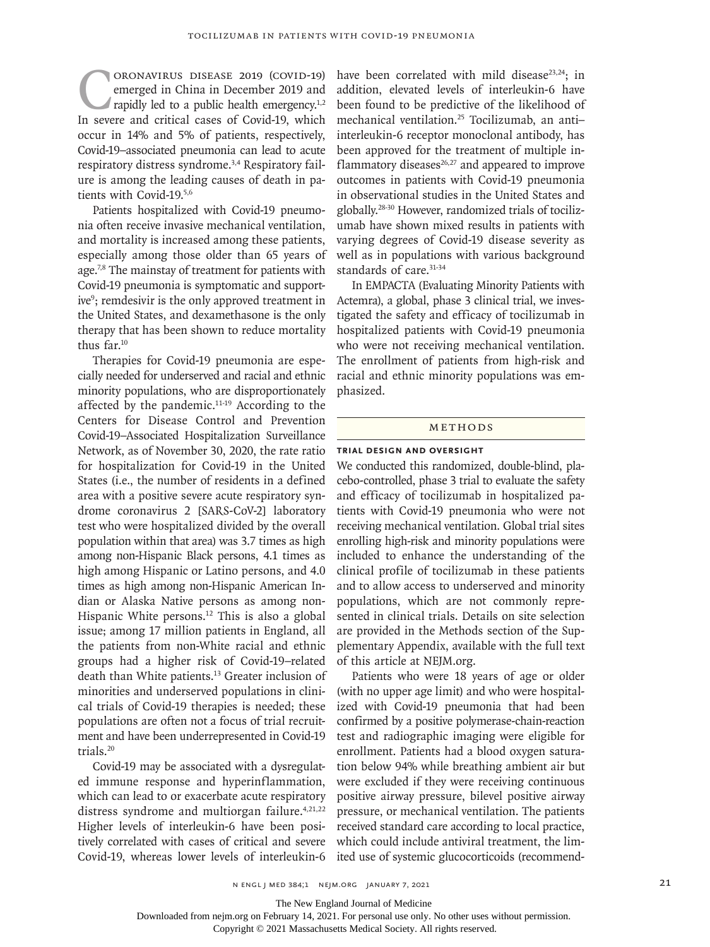CORONAVIRUS DISEASE 2019 (COVID-19)<br>emerged in China in December 2019 and<br>rapidly led to a public health emergency.<sup>1,2</sup><br>In severe and critical cases of Covid-19, which emerged in China in December 2019 and rapidly led to a public health emergency.<sup>1,2</sup> In severe and critical cases of Covid-19, which occur in 14% and 5% of patients, respectively, Covid-19–associated pneumonia can lead to acute respiratory distress syndrome.<sup>3,4</sup> Respiratory failure is among the leading causes of death in patients with Covid-19.5,6

Patients hospitalized with Covid-19 pneumonia often receive invasive mechanical ventilation, and mortality is increased among these patients, especially among those older than 65 years of age.<sup>7,8</sup> The mainstay of treatment for patients with Covid-19 pneumonia is symptomatic and supportive<sup>9</sup>; remdesivir is the only approved treatment in the United States, and dexamethasone is the only therapy that has been shown to reduce mortality thus far.10

Therapies for Covid-19 pneumonia are especially needed for underserved and racial and ethnic minority populations, who are disproportionately affected by the pandemic.11-19 According to the Centers for Disease Control and Prevention Covid-19–Associated Hospitalization Surveillance Network, as of November 30, 2020, the rate ratio for hospitalization for Covid-19 in the United States (i.e., the number of residents in a defined area with a positive severe acute respiratory syndrome coronavirus 2 [SARS-CoV-2] laboratory test who were hospitalized divided by the overall population within that area) was 3.7 times as high among non-Hispanic Black persons, 4.1 times as high among Hispanic or Latino persons, and 4.0 times as high among non-Hispanic American Indian or Alaska Native persons as among non-Hispanic White persons.<sup>12</sup> This is also a global issue; among 17 million patients in England, all the patients from non-White racial and ethnic groups had a higher risk of Covid-19–related death than White patients.13 Greater inclusion of minorities and underserved populations in clinical trials of Covid-19 therapies is needed; these populations are often not a focus of trial recruitment and have been underrepresented in Covid-19 trials.20

Covid-19 may be associated with a dysregulated immune response and hyperinflammation, which can lead to or exacerbate acute respiratory distress syndrome and multiorgan failure.<sup>4,21,22</sup> Higher levels of interleukin-6 have been positively correlated with cases of critical and severe Covid-19, whereas lower levels of interleukin-6

have been correlated with mild disease<sup>23,24</sup>; in addition, elevated levels of interleukin-6 have been found to be predictive of the likelihood of mechanical ventilation.25 Tocilizumab, an anti– interleukin-6 receptor monoclonal antibody, has been approved for the treatment of multiple inflammatory diseases $26,27$  and appeared to improve outcomes in patients with Covid-19 pneumonia in observational studies in the United States and globally.28-30 However, randomized trials of tocilizumab have shown mixed results in patients with varying degrees of Covid-19 disease severity as well as in populations with various background standards of care.<sup>31-34</sup>

In EMPACTA (Evaluating Minority Patients with Actemra), a global, phase 3 clinical trial, we investigated the safety and efficacy of tocilizumab in hospitalized patients with Covid-19 pneumonia who were not receiving mechanical ventilation. The enrollment of patients from high-risk and racial and ethnic minority populations was emphasized.

#### METHODS

#### **Trial Design and Oversight**

We conducted this randomized, double-blind, placebo-controlled, phase 3 trial to evaluate the safety and efficacy of tocilizumab in hospitalized patients with Covid-19 pneumonia who were not receiving mechanical ventilation. Global trial sites enrolling high-risk and minority populations were included to enhance the understanding of the clinical profile of tocilizumab in these patients and to allow access to underserved and minority populations, which are not commonly represented in clinical trials. Details on site selection are provided in the Methods section of the Supplementary Appendix, available with the full text of this article at NEJM.org.

Patients who were 18 years of age or older (with no upper age limit) and who were hospitalized with Covid-19 pneumonia that had been confirmed by a positive polymerase-chain-reaction test and radiographic imaging were eligible for enrollment. Patients had a blood oxygen saturation below 94% while breathing ambient air but were excluded if they were receiving continuous positive airway pressure, bilevel positive airway pressure, or mechanical ventilation. The patients received standard care according to local practice, which could include antiviral treatment, the limited use of systemic glucocorticoids (recommend-

The New England Journal of Medicine

Downloaded from nejm.org on February 14, 2021. For personal use only. No other uses without permission.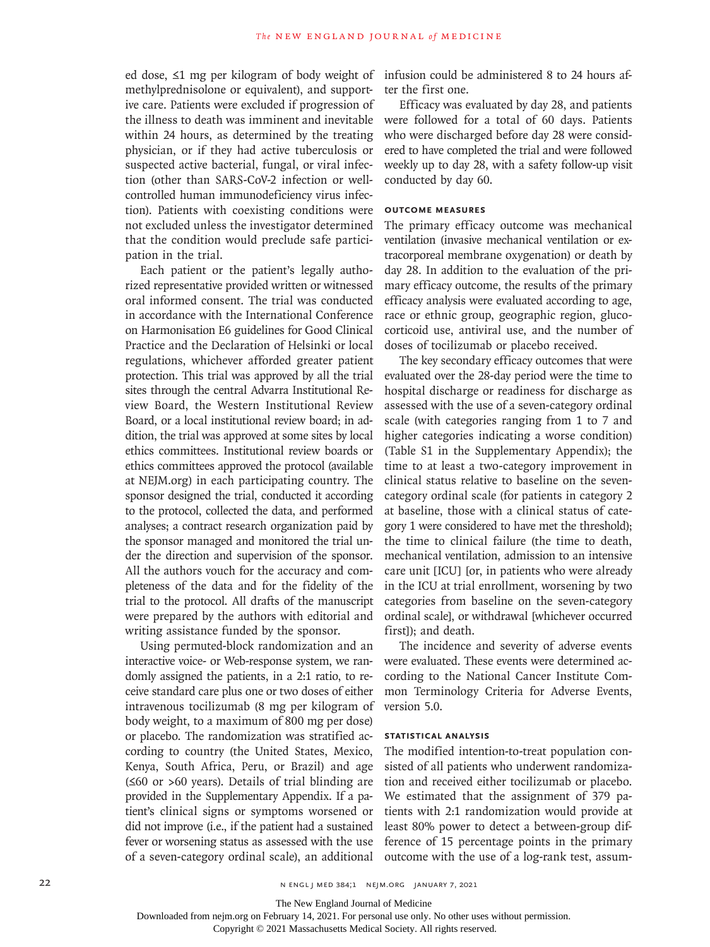ed dose, ≤1 mg per kilogram of body weight of infusion could be administered 8 to 24 hours afmethylprednisolone or equivalent), and supportive care. Patients were excluded if progression of the illness to death was imminent and inevitable within 24 hours, as determined by the treating physician, or if they had active tuberculosis or suspected active bacterial, fungal, or viral infection (other than SARS-CoV-2 infection or wellcontrolled human immunodeficiency virus infection). Patients with coexisting conditions were not excluded unless the investigator determined that the condition would preclude safe participation in the trial.

Each patient or the patient's legally authorized representative provided written or witnessed oral informed consent. The trial was conducted in accordance with the International Conference on Harmonisation E6 guidelines for Good Clinical Practice and the Declaration of Helsinki or local regulations, whichever afforded greater patient protection. This trial was approved by all the trial sites through the central Advarra Institutional Review Board, the Western Institutional Review Board, or a local institutional review board; in addition, the trial was approved at some sites by local ethics committees. Institutional review boards or ethics committees approved the protocol (available at NEJM.org) in each participating country. The sponsor designed the trial, conducted it according to the protocol, collected the data, and performed analyses; a contract research organization paid by the sponsor managed and monitored the trial under the direction and supervision of the sponsor. All the authors vouch for the accuracy and completeness of the data and for the fidelity of the trial to the protocol. All drafts of the manuscript were prepared by the authors with editorial and writing assistance funded by the sponsor.

Using permuted-block randomization and an interactive voice- or Web-response system, we randomly assigned the patients, in a 2:1 ratio, to receive standard care plus one or two doses of either intravenous tocilizumab (8 mg per kilogram of body weight, to a maximum of 800 mg per dose) or placebo. The randomization was stratified according to country (the United States, Mexico, Kenya, South Africa, Peru, or Brazil) and age (≤60 or >60 years). Details of trial blinding are provided in the Supplementary Appendix. If a patient's clinical signs or symptoms worsened or did not improve (i.e., if the patient had a sustained fever or worsening status as assessed with the use of a seven-category ordinal scale), an additional

ter the first one.

Efficacy was evaluated by day 28, and patients were followed for a total of 60 days. Patients who were discharged before day 28 were considered to have completed the trial and were followed weekly up to day 28, with a safety follow-up visit conducted by day 60.

# **Outcome Measures**

The primary efficacy outcome was mechanical ventilation (invasive mechanical ventilation or extracorporeal membrane oxygenation) or death by day 28. In addition to the evaluation of the primary efficacy outcome, the results of the primary efficacy analysis were evaluated according to age, race or ethnic group, geographic region, glucocorticoid use, antiviral use, and the number of doses of tocilizumab or placebo received.

The key secondary efficacy outcomes that were evaluated over the 28-day period were the time to hospital discharge or readiness for discharge as assessed with the use of a seven-category ordinal scale (with categories ranging from 1 to 7 and higher categories indicating a worse condition) (Table S1 in the Supplementary Appendix); the time to at least a two-category improvement in clinical status relative to baseline on the sevencategory ordinal scale (for patients in category 2 at baseline, those with a clinical status of category 1 were considered to have met the threshold); the time to clinical failure (the time to death, mechanical ventilation, admission to an intensive care unit [ICU] [or, in patients who were already in the ICU at trial enrollment, worsening by two categories from baseline on the seven-category ordinal scale], or withdrawal [whichever occurred first]); and death.

The incidence and severity of adverse events were evaluated. These events were determined according to the National Cancer Institute Common Terminology Criteria for Adverse Events, version 5.0.

## **Statistical Analysis**

The modified intention-to-treat population consisted of all patients who underwent randomization and received either tocilizumab or placebo. We estimated that the assignment of 379 patients with 2:1 randomization would provide at least 80% power to detect a between-group difference of 15 percentage points in the primary outcome with the use of a log-rank test, assum-

The New England Journal of Medicine

Downloaded from nejm.org on February 14, 2021. For personal use only. No other uses without permission.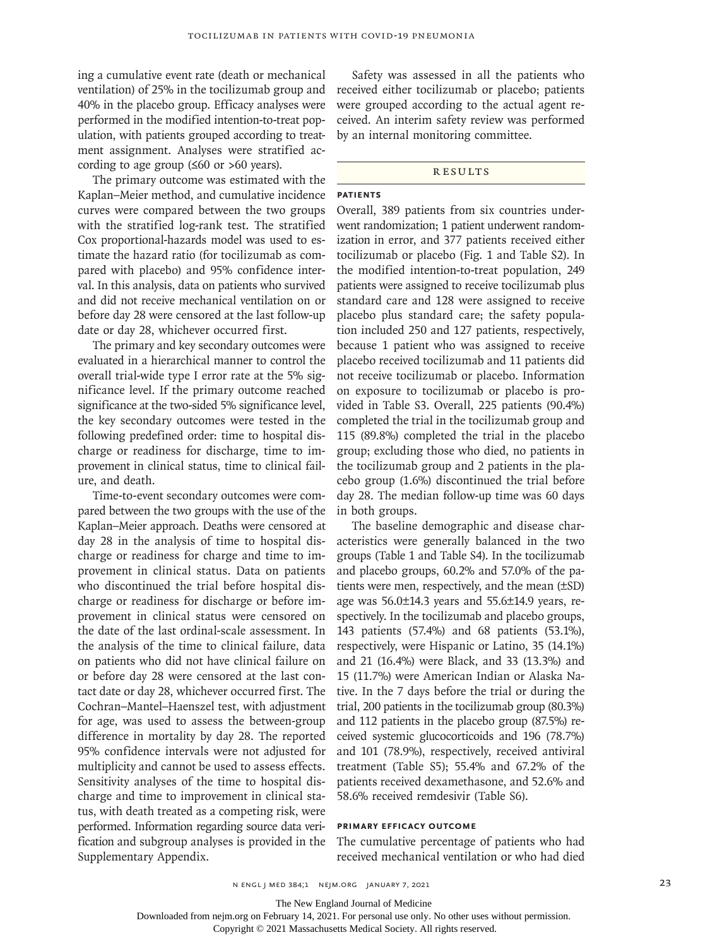ing a cumulative event rate (death or mechanical ventilation) of 25% in the tocilizumab group and 40% in the placebo group. Efficacy analyses were performed in the modified intention-to-treat population, with patients grouped according to treatment assignment. Analyses were stratified according to age group  $(≤60$  or >60 years).

The primary outcome was estimated with the Kaplan–Meier method, and cumulative incidence curves were compared between the two groups with the stratified log-rank test. The stratified Cox proportional-hazards model was used to estimate the hazard ratio (for tocilizumab as compared with placebo) and 95% confidence interval. In this analysis, data on patients who survived and did not receive mechanical ventilation on or before day 28 were censored at the last follow-up date or day 28, whichever occurred first.

The primary and key secondary outcomes were evaluated in a hierarchical manner to control the overall trial-wide type I error rate at the 5% significance level. If the primary outcome reached significance at the two-sided 5% significance level, the key secondary outcomes were tested in the following predefined order: time to hospital discharge or readiness for discharge, time to improvement in clinical status, time to clinical failure, and death.

Time-to-event secondary outcomes were compared between the two groups with the use of the Kaplan–Meier approach. Deaths were censored at day 28 in the analysis of time to hospital discharge or readiness for charge and time to improvement in clinical status. Data on patients who discontinued the trial before hospital discharge or readiness for discharge or before improvement in clinical status were censored on the date of the last ordinal-scale assessment. In the analysis of the time to clinical failure, data on patients who did not have clinical failure on or before day 28 were censored at the last contact date or day 28, whichever occurred first. The Cochran–Mantel–Haenszel test, with adjustment for age, was used to assess the between-group difference in mortality by day 28. The reported 95% confidence intervals were not adjusted for multiplicity and cannot be used to assess effects. Sensitivity analyses of the time to hospital discharge and time to improvement in clinical status, with death treated as a competing risk, were performed. Information regarding source data verification and subgroup analyses is provided in the Supplementary Appendix.

Safety was assessed in all the patients who received either tocilizumab or placebo; patients were grouped according to the actual agent received. An interim safety review was performed by an internal monitoring committee.

#### **RESULTS**

### **Patients**

Overall, 389 patients from six countries underwent randomization; 1 patient underwent randomization in error, and 377 patients received either tocilizumab or placebo (Fig. 1 and Table S2). In the modified intention-to-treat population, 249 patients were assigned to receive tocilizumab plus standard care and 128 were assigned to receive placebo plus standard care; the safety population included 250 and 127 patients, respectively, because 1 patient who was assigned to receive placebo received tocilizumab and 11 patients did not receive tocilizumab or placebo. Information on exposure to tocilizumab or placebo is provided in Table S3. Overall, 225 patients (90.4%) completed the trial in the tocilizumab group and 115 (89.8%) completed the trial in the placebo group; excluding those who died, no patients in the tocilizumab group and 2 patients in the placebo group (1.6%) discontinued the trial before day 28. The median follow-up time was 60 days in both groups.

The baseline demographic and disease characteristics were generally balanced in the two groups (Table 1 and Table S4). In the tocilizumab and placebo groups, 60.2% and 57.0% of the patients were men, respectively, and the mean (±SD) age was 56.0±14.3 years and 55.6±14.9 years, respectively. In the tocilizumab and placebo groups, 143 patients (57.4%) and 68 patients (53.1%), respectively, were Hispanic or Latino, 35 (14.1%) and 21 (16.4%) were Black, and 33 (13.3%) and 15 (11.7%) were American Indian or Alaska Native. In the 7 days before the trial or during the trial, 200 patients in the tocilizumab group (80.3%) and 112 patients in the placebo group (87.5%) received systemic glucocorticoids and 196 (78.7%) and 101 (78.9%), respectively, received antiviral treatment (Table S5); 55.4% and 67.2% of the patients received dexamethasone, and 52.6% and 58.6% received remdesivir (Table S6).

#### **Primary Efficacy Outcome**

The cumulative percentage of patients who had received mechanical ventilation or who had died

The New England Journal of Medicine

Downloaded from nejm.org on February 14, 2021. For personal use only. No other uses without permission.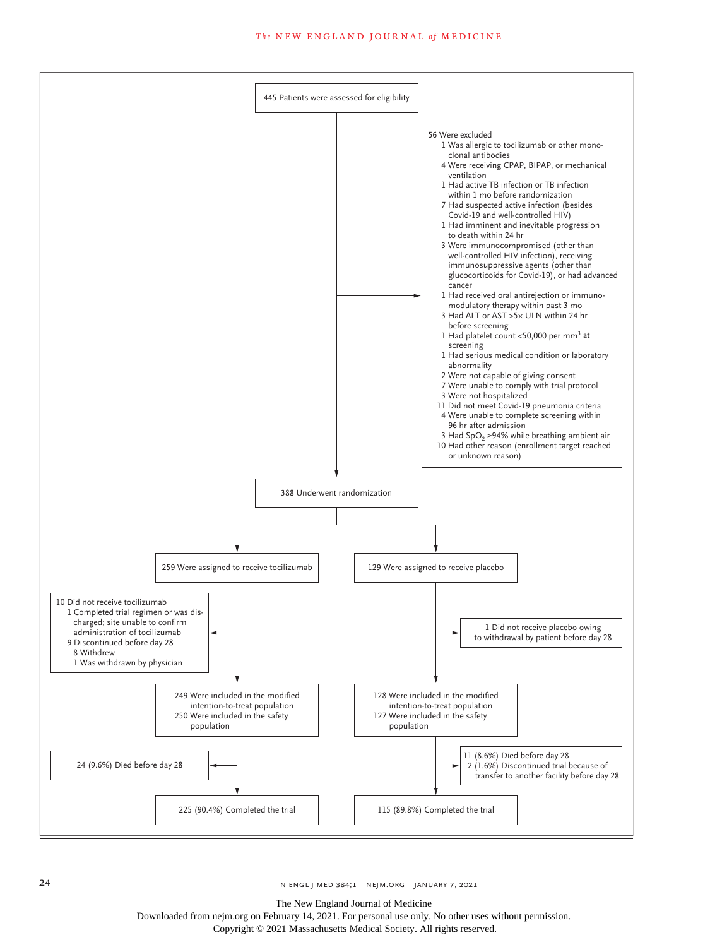

The New England Journal of Medicine

Downloaded from nejm.org on February 14, 2021. For personal use only. No other uses without permission.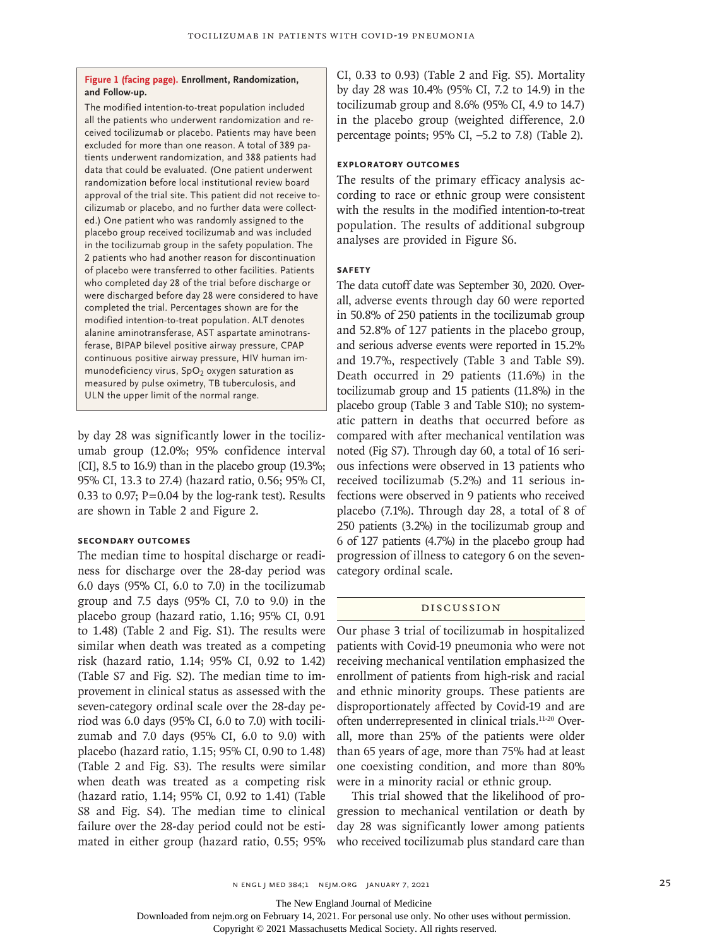#### **Figure 1 (facing page). Enrollment, Randomization, and Follow-up.**

The modified intention-to-treat population included all the patients who underwent randomization and received tocilizumab or placebo. Patients may have been excluded for more than one reason. A total of 389 patients underwent randomization, and 388 patients had data that could be evaluated. (One patient underwent randomization before local institutional review board approval of the trial site. This patient did not receive tocilizumab or placebo, and no further data were collected.) One patient who was randomly assigned to the placebo group received tocilizumab and was included in the tocilizumab group in the safety population. The 2 patients who had another reason for discontinuation of placebo were transferred to other facilities. Patients who completed day 28 of the trial before discharge or were discharged before day 28 were considered to have completed the trial. Percentages shown are for the modified intention-to-treat population. ALT denotes alanine aminotransferase, AST aspartate aminotransferase, BIPAP bilevel positive airway pressure, CPAP continuous positive airway pressure, HIV human immunodeficiency virus,  $SpO<sub>2</sub>$  oxygen saturation as measured by pulse oximetry, TB tuberculosis, and ULN the upper limit of the normal range.

by day 28 was significantly lower in the tocilizumab group (12.0%; 95% confidence interval [CI], 8.5 to 16.9) than in the placebo group (19.3%; 95% CI, 13.3 to 27.4) (hazard ratio, 0.56; 95% CI, 0.33 to 0.97;  $P = 0.04$  by the log-rank test). Results are shown in Table 2 and Figure 2.

### **Secondary Outcomes**

The median time to hospital discharge or readiness for discharge over the 28-day period was 6.0 days (95% CI, 6.0 to 7.0) in the tocilizumab group and 7.5 days (95% CI, 7.0 to 9.0) in the placebo group (hazard ratio, 1.16; 95% CI, 0.91 to 1.48) (Table 2 and Fig. S1). The results were similar when death was treated as a competing risk (hazard ratio, 1.14; 95% CI, 0.92 to 1.42) (Table S7 and Fig. S2). The median time to improvement in clinical status as assessed with the seven-category ordinal scale over the 28-day period was 6.0 days (95% CI, 6.0 to 7.0) with tocilizumab and 7.0 days (95% CI, 6.0 to 9.0) with placebo (hazard ratio, 1.15; 95% CI, 0.90 to 1.48) (Table 2 and Fig. S3). The results were similar when death was treated as a competing risk (hazard ratio, 1.14; 95% CI, 0.92 to 1.41) (Table S8 and Fig. S4). The median time to clinical failure over the 28-day period could not be estimated in either group (hazard ratio, 0.55; 95% CI, 0.33 to 0.93) (Table 2 and Fig. S5). Mortality by day 28 was 10.4% (95% CI, 7.2 to 14.9) in the tocilizumab group and 8.6% (95% CI, 4.9 to 14.7) in the placebo group (weighted difference, 2.0 percentage points; 95% CI, –5.2 to 7.8) (Table 2).

# **Exploratory Outcomes**

The results of the primary efficacy analysis according to race or ethnic group were consistent with the results in the modified intention-to-treat population. The results of additional subgroup analyses are provided in Figure S6.

# **Safety**

The data cutoff date was September 30, 2020. Overall, adverse events through day 60 were reported in 50.8% of 250 patients in the tocilizumab group and 52.8% of 127 patients in the placebo group, and serious adverse events were reported in 15.2% and 19.7%, respectively (Table 3 and Table S9). Death occurred in 29 patients (11.6%) in the tocilizumab group and 15 patients (11.8%) in the placebo group (Table 3 and Table S10); no systematic pattern in deaths that occurred before as compared with after mechanical ventilation was noted (Fig S7). Through day 60, a total of 16 serious infections were observed in 13 patients who received tocilizumab (5.2%) and 11 serious infections were observed in 9 patients who received placebo (7.1%). Through day 28, a total of 8 of 250 patients (3.2%) in the tocilizumab group and 6 of 127 patients (4.7%) in the placebo group had progression of illness to category 6 on the sevencategory ordinal scale.

# Discussion

Our phase 3 trial of tocilizumab in hospitalized patients with Covid-19 pneumonia who were not receiving mechanical ventilation emphasized the enrollment of patients from high-risk and racial and ethnic minority groups. These patients are disproportionately affected by Covid-19 and are often underrepresented in clinical trials.11-20 Overall, more than 25% of the patients were older than 65 years of age, more than 75% had at least one coexisting condition, and more than 80% were in a minority racial or ethnic group.

This trial showed that the likelihood of progression to mechanical ventilation or death by day 28 was significantly lower among patients who received tocilizumab plus standard care than

The New England Journal of Medicine

Downloaded from nejm.org on February 14, 2021. For personal use only. No other uses without permission.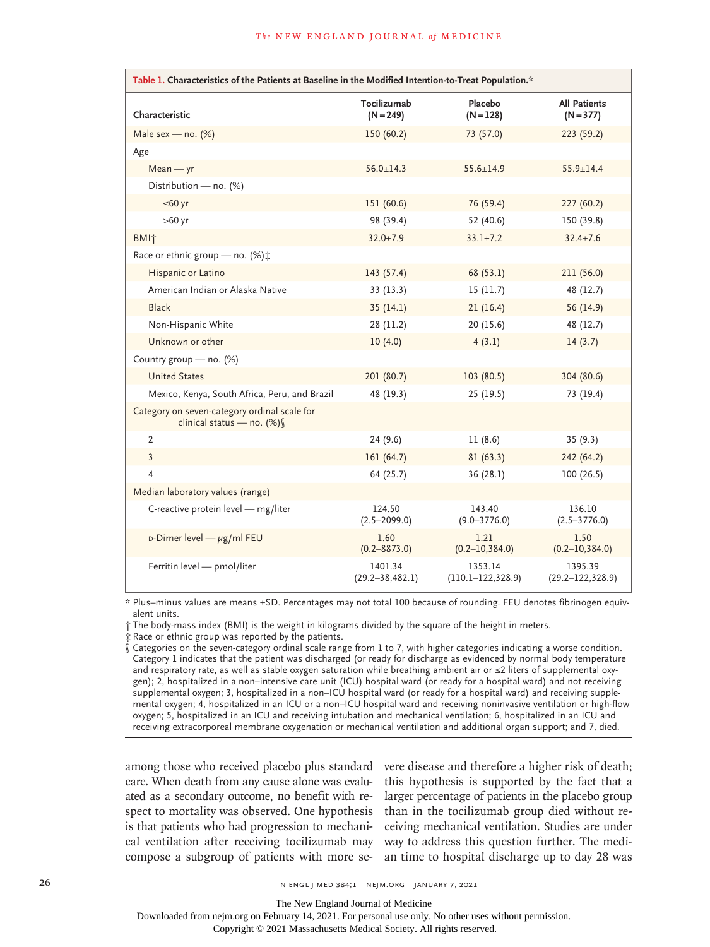| Table 1. Characteristics of the Patients at Baseline in the Modified Intention-to-Treat Population.* |                                 |                                   |                                    |  |  |  |  |
|------------------------------------------------------------------------------------------------------|---------------------------------|-----------------------------------|------------------------------------|--|--|--|--|
| Characteristic                                                                                       | Tocilizumab<br>$(N = 249)$      | Placebo<br>$(N = 128)$            | <b>All Patients</b><br>$(N = 377)$ |  |  |  |  |
| Male sex - no. $(%)$                                                                                 | 150(60.2)                       | 73 (57.0)                         | 223 (59.2)                         |  |  |  |  |
| Age                                                                                                  |                                 |                                   |                                    |  |  |  |  |
| $Mean - yr$                                                                                          | $56.0 \pm 14.3$                 | $55.6 + 14.9$                     | $55.9 + 14.4$                      |  |  |  |  |
| Distribution - no. (%)                                                                               |                                 |                                   |                                    |  |  |  |  |
| $≤60$ yr                                                                                             | 151(60.6)                       | 76 (59.4)                         | 227(60.2)                          |  |  |  |  |
| $>60$ yr                                                                                             | 98 (39.4)                       | 52 (40.6)                         | 150 (39.8)                         |  |  |  |  |
| <b>BMI</b> <sup>*</sup>                                                                              | $32.0 \pm 7.9$                  | $33.1 \pm 7.2$                    | $32.4 \pm 7.6$                     |  |  |  |  |
| Race or ethnic group - no. (%) :                                                                     |                                 |                                   |                                    |  |  |  |  |
| Hispanic or Latino                                                                                   | 143 (57.4)                      | 68 (53.1)                         | 211(56.0)                          |  |  |  |  |
| American Indian or Alaska Native                                                                     | 33(13.3)                        | 15(11.7)                          | 48 (12.7)                          |  |  |  |  |
| <b>Black</b>                                                                                         | 35(14.1)                        | 21(16.4)                          | 56 (14.9)                          |  |  |  |  |
| Non-Hispanic White                                                                                   | 28(11.2)                        | 20(15.6)                          | 48 (12.7)                          |  |  |  |  |
| Unknown or other                                                                                     | 10(4.0)                         | 4(3.1)                            | 14(3.7)                            |  |  |  |  |
| Country group - no. (%)                                                                              |                                 |                                   |                                    |  |  |  |  |
| <b>United States</b>                                                                                 | 201 (80.7)                      | 103(80.5)                         | 304 (80.6)                         |  |  |  |  |
| Mexico, Kenya, South Africa, Peru, and Brazil                                                        | 48 (19.3)                       | 25 (19.5)                         | 73 (19.4)                          |  |  |  |  |
| Category on seven-category ordinal scale for<br>clinical status - no. (%) \                          |                                 |                                   |                                    |  |  |  |  |
| 2                                                                                                    | 24(9.6)                         | 11(8.6)                           | 35(9.3)                            |  |  |  |  |
| $\overline{3}$                                                                                       | 161(64.7)                       | 81(63.3)                          | 242 (64.2)                         |  |  |  |  |
| 4                                                                                                    | 64 (25.7)                       | 36(28.1)                          | 100(26.5)                          |  |  |  |  |
| Median laboratory values (range)                                                                     |                                 |                                   |                                    |  |  |  |  |
| C-reactive protein level - mg/liter                                                                  | 124.50<br>$(2.5 - 2099.0)$      | 143.40<br>$(9.0 - 3776.0)$        | 136.10<br>$(2.5 - 3776.0)$         |  |  |  |  |
| D-Dimer level $-\mu$ g/ml FEU                                                                        | 1.60<br>$(0.2 - 8873.0)$        | 1.21<br>$(0.2 - 10, 384.0)$       | 1.50<br>$(0.2 - 10, 384.0)$        |  |  |  |  |
| Ferritin level - pmol/liter                                                                          | 1401.34<br>$(29.2 - 38, 482.1)$ | 1353.14<br>$(110.1 - 122, 328.9)$ | 1395.39<br>$(29.2 - 122, 328.9)$   |  |  |  |  |

\* Plus–minus values are means ±SD. Percentages may not total 100 because of rounding. FEU denotes fibrinogen equivalent units.

† The body-mass index (BMI) is the weight in kilograms divided by the square of the height in meters.

‡ Race or ethnic group was reported by the patients.

§ Categories on the seven-category ordinal scale range from 1 to 7, with higher categories indicating a worse condition. Category 1 indicates that the patient was discharged (or ready for discharge as evidenced by normal body temperature and respiratory rate, as well as stable oxygen saturation while breathing ambient air or ≤2 liters of supplemental oxygen); 2, hospitalized in a non–intensive care unit (ICU) hospital ward (or ready for a hospital ward) and not receiving supplemental oxygen; 3, hospitalized in a non–ICU hospital ward (or ready for a hospital ward) and receiving supplemental oxygen; 4, hospitalized in an ICU or a non–ICU hospital ward and receiving noninvasive ventilation or high-flow oxygen; 5, hospitalized in an ICU and receiving intubation and mechanical ventilation; 6, hospitalized in an ICU and receiving extracorporeal membrane oxygenation or mechanical ventilation and additional organ support; and 7, died.

among those who received placebo plus standard care. When death from any cause alone was evaluated as a secondary outcome, no benefit with respect to mortality was observed. One hypothesis is that patients who had progression to mechanical ventilation after receiving tocilizumab may way to address this question further. The medi-

compose a subgroup of patients with more se-an time to hospital discharge up to day 28 was vere disease and therefore a higher risk of death; this hypothesis is supported by the fact that a larger percentage of patients in the placebo group than in the tocilizumab group died without receiving mechanical ventilation. Studies are under

26 n engl j med 384;1 nejm.org January 7, 2021

The New England Journal of Medicine

Downloaded from nejm.org on February 14, 2021. For personal use only. No other uses without permission.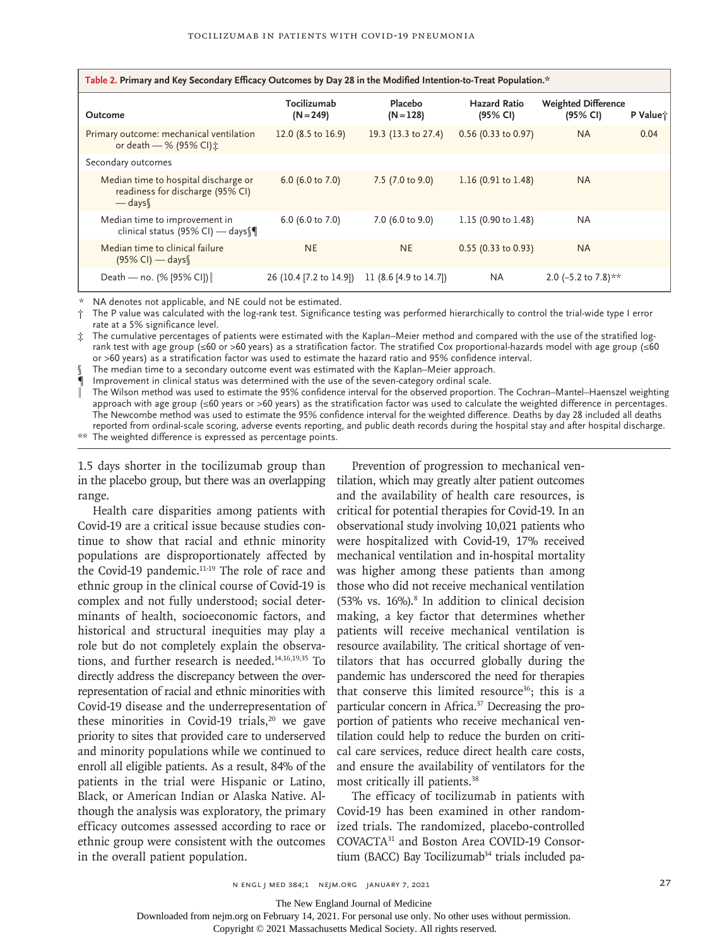| Table 2. Primary and Key Secondary Efficacy Outcomes by Day 28 in the Modified Intention-to-Treat Population.* |                               |                        |                                 |                                        |          |  |  |  |
|----------------------------------------------------------------------------------------------------------------|-------------------------------|------------------------|---------------------------------|----------------------------------------|----------|--|--|--|
| Outcome                                                                                                        | Tocilizumab<br>$(N = 249)$    | Placebo<br>$(N = 128)$ | <b>Hazard Ratio</b><br>(95% CI) | <b>Weighted Difference</b><br>(95% CI) | P Value; |  |  |  |
| Primary outcome: mechanical ventilation<br>or death - % (95% CI) :                                             | 12.0 $(8.5 \text{ to } 16.9)$ | 19.3 (13.3 to 27.4)    | $0.56$ (0.33 to 0.97)           | <b>NA</b>                              | 0.04     |  |  |  |
| Secondary outcomes                                                                                             |                               |                        |                                 |                                        |          |  |  |  |
| Median time to hospital discharge or<br>readiness for discharge (95% CI)<br>$-\frac{days}{1}$                  | 6.0 (6.0 to 7.0)              | 7.5 (7.0 to 9.0)       | 1.16 $(0.91 \text{ to } 1.48)$  | <b>NA</b>                              |          |  |  |  |
| Median time to improvement in<br>clinical status (95% CI) — days                                               | 6.0 (6.0 to 7.0)              | 7.0 (6.0 to 9.0)       | 1.15 (0.90 to 1.48)             | <b>NA</b>                              |          |  |  |  |
| Median time to clinical failure<br>$(95\%$ CI) — days                                                          | NE.                           | <b>NE</b>              | $0.55$ (0.33 to 0.93)           | <b>NA</b>                              |          |  |  |  |
| Death — no. $(% [95% CI])$                                                                                     | 26 (10.4 [7.2 to 14.9])       | 11 (8.6 [4.9 to 14.7]) | <b>NA</b>                       | 2.0 (-5.2 to 7.8) **                   |          |  |  |  |

\* NA denotes not applicable, and NE could not be estimated.

† The P value was calculated with the log-rank test. Significance testing was performed hierarchically to control the trial-wide type I error rate at a 5% significance level.

‡ The cumulative percentages of patients were estimated with the Kaplan–Meier method and compared with the use of the stratified logrank test with age group (≤60 or >60 years) as a stratification factor. The stratified Cox proportional-hazards model with age group (≤60 or >60 years) as a stratification factor was used to estimate the hazard ratio and 95% confidence interval.

The median time to a secondary outcome event was estimated with the Kaplan–Meier approach.

¶ Improvement in clinical status was determined with the use of the seven-category ordinal scale.

The Wilson method was used to estimate the 95% confidence interval for the observed proportion. The Cochran–Mantel–Haenszel weighting approach with age group (≤60 years or >60 years) as the stratification factor was used to calculate the weighted difference in percentages. The Newcombe method was used to estimate the 95% confidence interval for the weighted difference. Deaths by day 28 included all deaths reported from ordinal-scale scoring, adverse events reporting, and public death records during the hospital stay and after hospital discharge. \*\* The weighted difference is expressed as percentage points.

1.5 days shorter in the tocilizumab group than in the placebo group, but there was an overlapping range.

Health care disparities among patients with Covid-19 are a critical issue because studies continue to show that racial and ethnic minority populations are disproportionately affected by the Covid-19 pandemic.<sup>11-19</sup> The role of race and ethnic group in the clinical course of Covid-19 is complex and not fully understood; social determinants of health, socioeconomic factors, and historical and structural inequities may play a role but do not completely explain the observations, and further research is needed. $14,16,19,35$  To directly address the discrepancy between the overrepresentation of racial and ethnic minorities with Covid-19 disease and the underrepresentation of these minorities in Covid-19 trials,<sup>20</sup> we gave priority to sites that provided care to underserved and minority populations while we continued to enroll all eligible patients. As a result, 84% of the patients in the trial were Hispanic or Latino, Black, or American Indian or Alaska Native. Although the analysis was exploratory, the primary efficacy outcomes assessed according to race or ethnic group were consistent with the outcomes in the overall patient population.

Prevention of progression to mechanical ventilation, which may greatly alter patient outcomes and the availability of health care resources, is critical for potential therapies for Covid-19. In an observational study involving 10,021 patients who were hospitalized with Covid-19, 17% received mechanical ventilation and in-hospital mortality was higher among these patients than among those who did not receive mechanical ventilation  $(53\% \text{ vs. } 16\%).$ <sup>8</sup> In addition to clinical decision making, a key factor that determines whether patients will receive mechanical ventilation is resource availability. The critical shortage of ventilators that has occurred globally during the pandemic has underscored the need for therapies that conserve this limited resource<sup>36</sup>; this is a particular concern in Africa.37 Decreasing the proportion of patients who receive mechanical ventilation could help to reduce the burden on critical care services, reduce direct health care costs, and ensure the availability of ventilators for the most critically ill patients.38

The efficacy of tocilizumab in patients with Covid-19 has been examined in other randomized trials. The randomized, placebo-controlled COVACTA31 and Boston Area COVID-19 Consortium (BACC) Bay Tocilizumab<sup>34</sup> trials included pa-

The New England Journal of Medicine

Downloaded from nejm.org on February 14, 2021. For personal use only. No other uses without permission.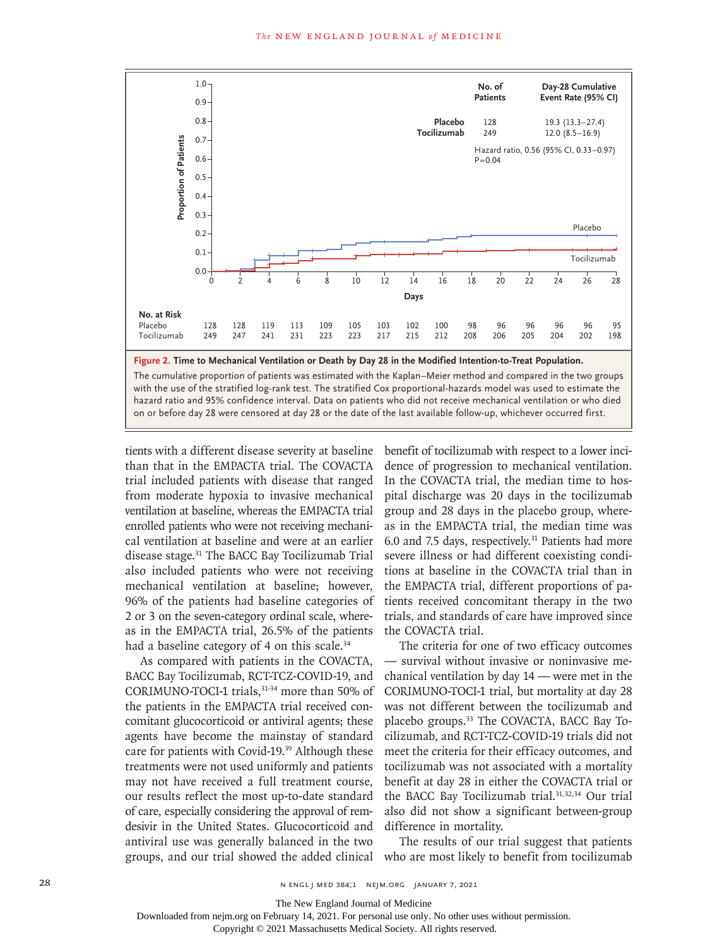

with the use of the stratified log-rank test. The stratified Cox proportional-hazards model was used to estimate the hazard ratio and 95% confidence interval. Data on patients who did not receive mechanical ventilation or who died

tients with a different disease severity at baseline than that in the EMPACTA trial. The COVACTA trial included patients with disease that ranged from moderate hypoxia to invasive mechanical ventilation at baseline, whereas the EMPACTA trial enrolled patients who were not receiving mechanical ventilation at baseline and were at an earlier disease stage.31 The BACC Bay Tocilizumab Trial also included patients who were not receiving mechanical ventilation at baseline; however, 96% of the patients had baseline categories of 2 or 3 on the seven-category ordinal scale, whereas in the EMPACTA trial, 26.5% of the patients had a baseline category of 4 on this scale.<sup>34</sup>

As compared with patients in the COVACTA, BACC Bay Tocilizumab, RCT-TCZ-COVID-19, and CORIMUNO-TOCI-1 trials,31-34 more than 50% of the patients in the EMPACTA trial received concomitant glucocorticoid or antiviral agents; these agents have become the mainstay of standard care for patients with Covid-19.<sup>39</sup> Although these treatments were not used uniformly and patients may not have received a full treatment course, our results reflect the most up-to-date standard of care, especially considering the approval of remdesivir in the United States. Glucocorticoid and antiviral use was generally balanced in the two

benefit of tocilizumab with respect to a lower incidence of progression to mechanical ventilation. In the COVACTA trial, the median time to hospital discharge was 20 days in the tocilizumab group and 28 days in the placebo group, whereas in the EMPACTA trial, the median time was 6.0 and 7.5 days, respectively.31 Patients had more severe illness or had different coexisting conditions at baseline in the COVACTA trial than in the EMPACTA trial, different proportions of patients received concomitant therapy in the two trials, and standards of care have improved since the COVACTA trial.

The criteria for one of two efficacy outcomes — survival without invasive or noninvasive mechanical ventilation by day 14 — were met in the CORIMUNO-TOCI-1 trial, but mortality at day 28 was not different between the tocilizumab and placebo groups.33 The COVACTA, BACC Bay Tocilizumab, and RCT-TCZ-COVID-19 trials did not meet the criteria for their efficacy outcomes, and tocilizumab was not associated with a mortality benefit at day 28 in either the COVACTA trial or the BACC Bay Tocilizumab trial.<sup>31,32,34</sup> Our trial also did not show a significant between-group difference in mortality.

groups, and our trial showed the added clinical who are most likely to benefit from tocilizumab The results of our trial suggest that patients

The New England Journal of Medicine

Downloaded from nejm.org on February 14, 2021. For personal use only. No other uses without permission.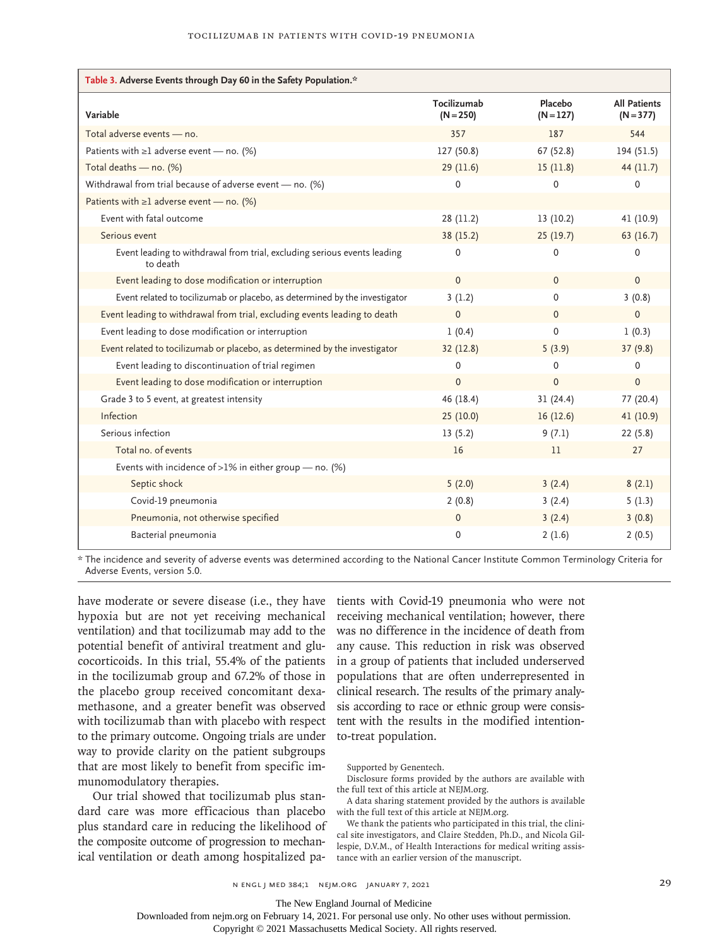| Table 3. Adverse Events through Day 60 in the Safety Population.*                    |                            |                        |                                    |  |  |  |  |
|--------------------------------------------------------------------------------------|----------------------------|------------------------|------------------------------------|--|--|--|--|
| Variable                                                                             | Tocilizumab<br>$(N = 250)$ | Placebo<br>$(N = 127)$ | <b>All Patients</b><br>$(N = 377)$ |  |  |  |  |
| Total adverse events - no.                                                           | 357                        | 187                    | 544                                |  |  |  |  |
| Patients with $\geq 1$ adverse event — no. (%)                                       | 127 (50.8)                 | 67 (52.8)              | 194 (51.5)                         |  |  |  |  |
| Total deaths - no. (%)                                                               | 29(11.6)                   | 15(11.8)               | 44 (11.7)                          |  |  |  |  |
| Withdrawal from trial because of adverse event - no. (%)                             | 0                          | 0                      | 0                                  |  |  |  |  |
| Patients with $\geq 1$ adverse event — no. (%)                                       |                            |                        |                                    |  |  |  |  |
| Event with fatal outcome                                                             | 28 (11.2)                  | 13(10.2)               | 41 (10.9)                          |  |  |  |  |
| Serious event                                                                        | 38 (15.2)                  | 25(19.7)               | 63(16.7)                           |  |  |  |  |
| Event leading to withdrawal from trial, excluding serious events leading<br>to death | $\Omega$                   | $\mathbf{0}$           | $\Omega$                           |  |  |  |  |
| Event leading to dose modification or interruption                                   | $\mathbf{0}$               | $\mathbf{0}$           | $\mathbf{0}$                       |  |  |  |  |
| Event related to tocilizumab or placebo, as determined by the investigator           | 3(1.2)                     | 0                      | 3(0.8)                             |  |  |  |  |
| Event leading to withdrawal from trial, excluding events leading to death            | $\mathbf{0}$               | $\Omega$               | $\mathbf{0}$                       |  |  |  |  |
| Event leading to dose modification or interruption                                   | 1(0.4)                     | $\mathbf{0}$           | 1(0.3)                             |  |  |  |  |
| Event related to tocilizumab or placebo, as determined by the investigator           | 32(12.8)                   | 5(3.9)                 | 37(9.8)                            |  |  |  |  |
| Event leading to discontinuation of trial regimen                                    | $\Omega$                   | 0                      | 0                                  |  |  |  |  |
| Event leading to dose modification or interruption                                   | $\Omega$                   | $\Omega$               | $\mathbf{0}$                       |  |  |  |  |
| Grade 3 to 5 event, at greatest intensity                                            | 46 (18.4)                  | 31(24.4)               | 77 (20.4)                          |  |  |  |  |
| Infection                                                                            | 25(10.0)                   | 16(12.6)               | 41 (10.9)                          |  |  |  |  |
| Serious infection                                                                    | 13(5.2)                    | 9(7.1)                 | 22(5.8)                            |  |  |  |  |
| Total no. of events                                                                  | 16                         | 11                     | 27                                 |  |  |  |  |
| Events with incidence of >1% in either group $-$ no. (%)                             |                            |                        |                                    |  |  |  |  |
| Septic shock                                                                         | 5(2.0)                     | 3(2.4)                 | 8(2.1)                             |  |  |  |  |
| Covid-19 pneumonia                                                                   | 2(0.8)                     | 3(2.4)                 | 5(1.3)                             |  |  |  |  |
| Pneumonia, not otherwise specified                                                   | $\mathbf 0$                | 3(2.4)                 | 3(0.8)                             |  |  |  |  |
| Bacterial pneumonia                                                                  | $\Omega$                   | 2(1.6)                 | 2(0.5)                             |  |  |  |  |

\* The incidence and severity of adverse events was determined according to the National Cancer Institute Common Terminology Criteria for Adverse Events, version 5.0.

have moderate or severe disease (i.e., they have tients with Covid-19 pneumonia who were not hypoxia but are not yet receiving mechanical ventilation) and that tocilizumab may add to the potential benefit of antiviral treatment and glucocorticoids. In this trial, 55.4% of the patients in the tocilizumab group and 67.2% of those in the placebo group received concomitant dexamethasone, and a greater benefit was observed with tocilizumab than with placebo with respect to the primary outcome. Ongoing trials are under way to provide clarity on the patient subgroups that are most likely to benefit from specific immunomodulatory therapies.

Our trial showed that tocilizumab plus standard care was more efficacious than placebo plus standard care in reducing the likelihood of the composite outcome of progression to mechanical ventilation or death among hospitalized pa-

receiving mechanical ventilation; however, there was no difference in the incidence of death from any cause. This reduction in risk was observed in a group of patients that included underserved populations that are often underrepresented in clinical research. The results of the primary analysis according to race or ethnic group were consistent with the results in the modified intentionto-treat population.

Supported by Genentech.

Disclosure forms provided by the authors are available with the full text of this article at NEJM.org.

A data sharing statement provided by the authors is available with the full text of this article at NEJM.org.

We thank the patients who participated in this trial, the clinical site investigators, and Claire Stedden, Ph.D., and Nicola Gillespie, D.V.M., of Health Interactions for medical writing assistance with an earlier version of the manuscript.

n engl j med 384;1 nejm.org January 7, 2021 29

The New England Journal of Medicine

Downloaded from nejm.org on February 14, 2021. For personal use only. No other uses without permission.